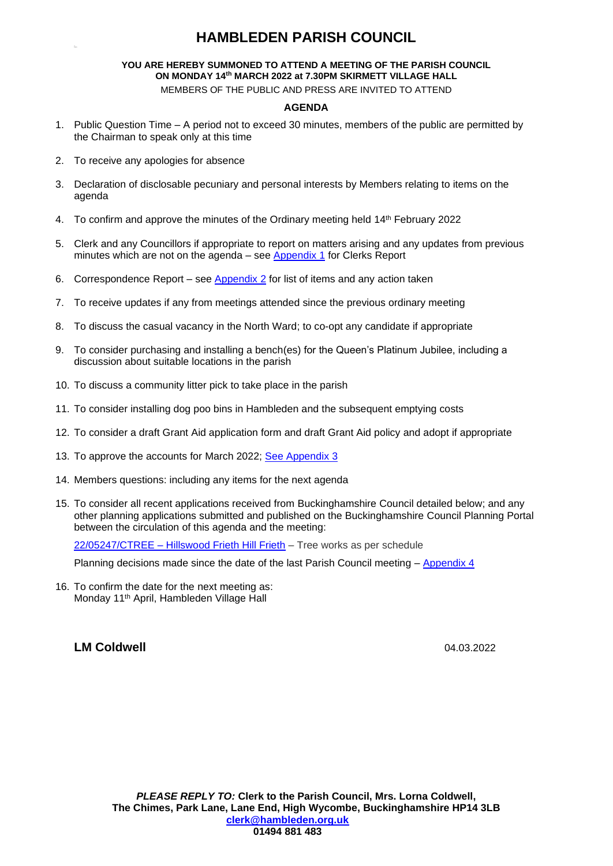### **HAMBLEDEN PARISH COUNCIL**

#### **YOU ARE HEREBY SUMMONED TO ATTEND A MEETING OF THE PARISH COUNCIL ON MONDAY 14 th MARCH 2022 at 7.30PM SKIRMETT VILLAGE HALL**

MEMBERS OF THE PUBLIC AND PRESS ARE INVITED TO ATTEND

#### **AGENDA**

- 1. Public Question Time A period not to exceed 30 minutes, members of the public are permitted by the Chairman to speak only at this time
- 2. To receive any apologies for absence
- 3. Declaration of disclosable pecuniary and personal interests by Members relating to items on the agenda
- 4. To confirm and approve the minutes of the Ordinary meeting held 14<sup>th</sup> February 2022
- 5. Clerk and any Councillors if appropriate to report on matters arising and any updates from previous minutes which are not on the agenda – see [Appendix 1](#page-1-0) for Clerks Report
- 6. Correspondence Report see [Appendix 2](#page-1-1) for list of items and any action taken
- 7. To receive updates if any from meetings attended since the previous ordinary meeting
- 8. To discuss the casual vacancy in the North Ward; to co-opt any candidate if appropriate
- 9. To consider purchasing and installing a bench(es) for the Queen's Platinum Jubilee, including a discussion about suitable locations in the parish
- 10. To discuss a community litter pick to take place in the parish
- 11. To consider installing dog poo bins in Hambleden and the subsequent emptying costs
- 12. To consider a draft Grant Aid application form and draft Grant Aid policy and adopt if appropriate
- 13. To approve the accounts for March 2022; [See Appendix 3](#page-1-2)
- 14. Members questions: including any items for the next agenda
- 15. To consider all recent applications received from Buckinghamshire Council detailed below; and any other planning applications submitted and published on the Buckinghamshire Council Planning Portal between the circulation of this agenda and the meeting:

22/05247/CTREE – [Hillswood Frieth Hill Frieth](https://publicaccess.wycombe.gov.uk/idoxpa-web/applicationDetails.do?activeTab=documents&keyVal=R6MLKTSC0QB00) – Tree works as per schedule

Planning decisions made since the date of the last Parish Council meeting – [Appendix 4](#page-2-0)

16. To confirm the date for the next meeting as: Monday 11th April, Hambleden Village Hall

# **LM Coldwell** 04.03.2022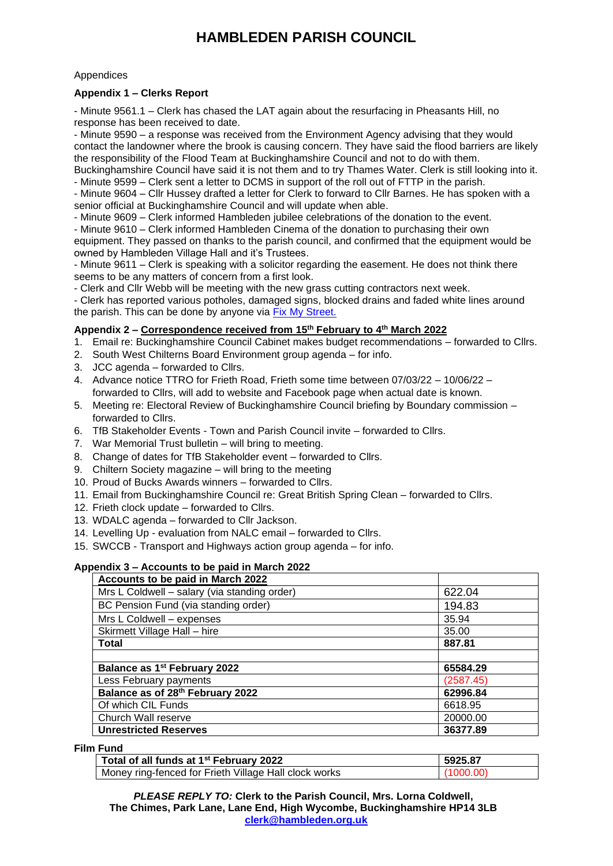## **HAMBLEDEN PARISH COUNCIL**

#### **Appendices**

#### <span id="page-1-0"></span>**Appendix 1 – Clerks Report**

- Minute 9561.1 – Clerk has chased the LAT again about the resurfacing in Pheasants Hill, no response has been received to date.

- Minute 9590 – a response was received from the Environment Agency advising that they would contact the landowner where the brook is causing concern. They have said the flood barriers are likely the responsibility of the Flood Team at Buckinghamshire Council and not to do with them.

Buckinghamshire Council have said it is not them and to try Thames Water. Clerk is still looking into it. - Minute 9599 – Clerk sent a letter to DCMS in support of the roll out of FTTP in the parish.

- Minute 9604 – Cllr Hussey drafted a letter for Clerk to forward to Cllr Barnes. He has spoken with a senior official at Buckinghamshire Council and will update when able.

- Minute 9609 – Clerk informed Hambleden jubilee celebrations of the donation to the event.

- Minute 9610 – Clerk informed Hambleden Cinema of the donation to purchasing their own equipment. They passed on thanks to the parish council, and confirmed that the equipment would be owned by Hambleden Village Hall and it's Trustees.

- Minute 9611 – Clerk is speaking with a solicitor regarding the easement. He does not think there seems to be any matters of concern from a first look.

- Clerk and Cllr Webb will be meeting with the new grass cutting contractors next week.

- Clerk has reported various potholes, damaged signs, blocked drains and faded white lines around the parish. This can be done by anyone via Fix [My Street.](https://www.fixmystreet.com/)

#### <span id="page-1-1"></span>**Appendix 2 – Correspondence received from 15th February to 4th March 2022**

- 1. Email re: Buckinghamshire Council Cabinet makes budget recommendations forwarded to Cllrs.
- 2. South West Chilterns Board Environment group agenda for info.
- 3. JCC agenda forwarded to Cllrs.
- 4. Advance notice TTRO for Frieth Road, Frieth some time between 07/03/22 10/06/22 forwarded to Cllrs, will add to website and Facebook page when actual date is known.
- 5. Meeting re: Electoral Review of Buckinghamshire Council briefing by Boundary commission forwarded to Cllrs.
- 6. TfB Stakeholder Events Town and Parish Council invite forwarded to Cllrs.
- 7. War Memorial Trust bulletin will bring to meeting.
- 8. Change of dates for TfB Stakeholder event forwarded to Cllrs.
- 9. Chiltern Society magazine will bring to the meeting
- 10. Proud of Bucks Awards winners forwarded to Cllrs.
- 11. Email from Buckinghamshire Council re: Great British Spring Clean forwarded to Cllrs.
- 12. Frieth clock update forwarded to Cllrs.
- 13. WDALC agenda forwarded to Cllr Jackson.
- 14. Levelling Up evaluation from NALC email forwarded to Cllrs.
- 15. SWCCB Transport and Highways action group agenda for info.

#### <span id="page-1-2"></span>**Appendix 3 – Accounts to be paid in March 2022**

| Accounts to be paid in March 2022            |           |
|----------------------------------------------|-----------|
| Mrs L Coldwell - salary (via standing order) | 622.04    |
| BC Pension Fund (via standing order)         | 194.83    |
| Mrs L Coldwell - expenses                    | 35.94     |
| Skirmett Village Hall - hire                 | 35.00     |
| <b>Total</b>                                 | 887.81    |
|                                              |           |
| Balance as 1 <sup>st</sup> February 2022     | 65584.29  |
| Less February payments                       | (2587.45) |
| Balance as of 28th February 2022             | 62996.84  |
| Of which CIL Funds                           | 6618.95   |
| Church Wall reserve                          | 20000.00  |
| <b>Unrestricted Reserves</b>                 | 36377.89  |

**Film Fund**

| Total of all funds at 1 <sup>st</sup> February 2022   | 5925.87   |
|-------------------------------------------------------|-----------|
| Money ring-fenced for Frieth Village Hall clock works | 71000.00) |

*PLEASE REPLY TO:* **Clerk to the Parish Council, Mrs. Lorna Coldwell, The Chimes, Park Lane, Lane End, High Wycombe, Buckinghamshire HP14 3LB [clerk@hambleden.org.uk](mailto:clerk@hambleden.org.uk)**